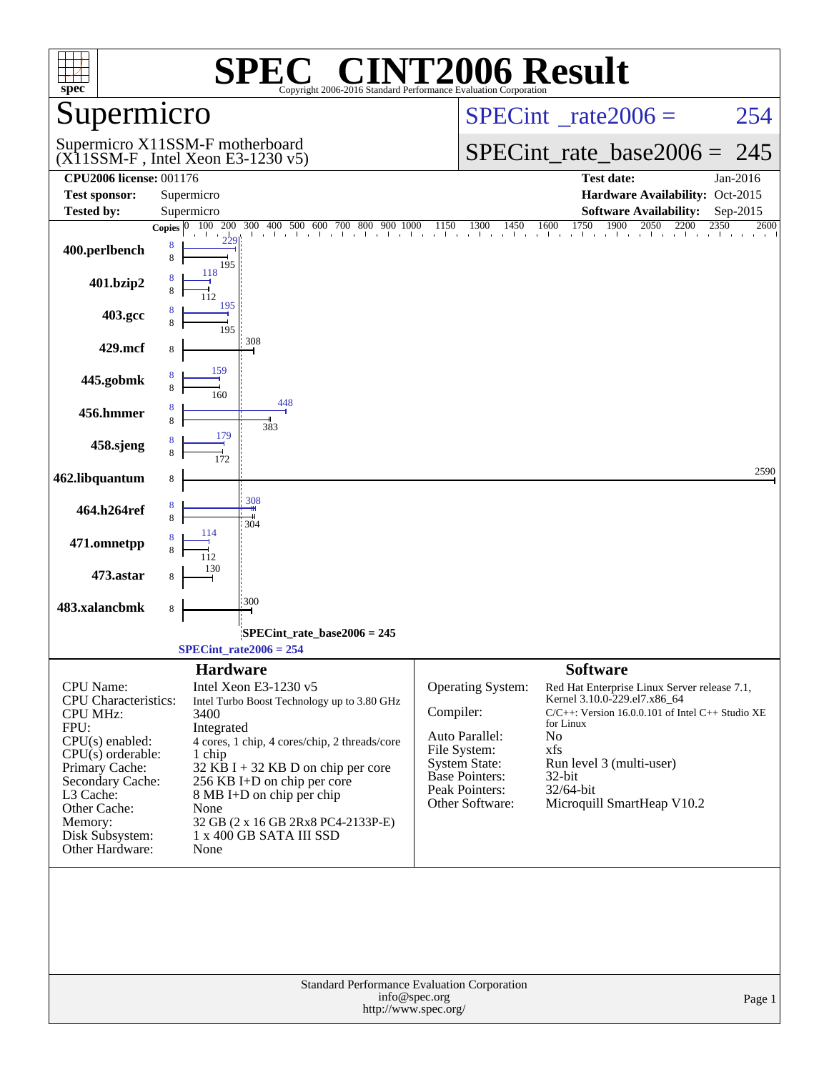| spec®                                                                                                       | $\mathbf{P}(\mathbf{R})$<br>Copyright 2006-2016 Standard Performance Evaluation Corporation                                                                         | <b>INT2006 Result</b>                                                                                                                                                                                        |
|-------------------------------------------------------------------------------------------------------------|---------------------------------------------------------------------------------------------------------------------------------------------------------------------|--------------------------------------------------------------------------------------------------------------------------------------------------------------------------------------------------------------|
| Supermicro                                                                                                  |                                                                                                                                                                     | $SPECint^{\circ}$ <sub>_rate2006</sub> =<br>254                                                                                                                                                              |
|                                                                                                             | Supermicro X11SSM-F motherboard<br>$(X11SSM-F$ , Intel Xeon E3-1230 v5)                                                                                             | $SPECint_rate\_base2006 =$<br>245                                                                                                                                                                            |
| <b>CPU2006 license: 001176</b>                                                                              |                                                                                                                                                                     | <b>Test date:</b><br>Jan-2016                                                                                                                                                                                |
| <b>Test sponsor:</b>                                                                                        | Supermicro                                                                                                                                                          | Hardware Availability: Oct-2015                                                                                                                                                                              |
| <b>Tested by:</b>                                                                                           | Supermicro                                                                                                                                                          | <b>Software Availability:</b><br>Sep-2015                                                                                                                                                                    |
|                                                                                                             | Copies $ 0 $                                                                                                                                                        | $100\quad 200\quad 300\quad 400\quad 500\quad 600\quad 700\quad 800\quad 900\quad 1000\qquad 1150\qquad 1300\qquad 1450\qquad 1600\qquad 1750\qquad 1900\qquad 2050\qquad 2200\qquad 2350$<br>2600           |
| 400.perlbench                                                                                               | 8<br>8<br>195                                                                                                                                                       |                                                                                                                                                                                                              |
| 401.bzip2                                                                                                   | 118                                                                                                                                                                 |                                                                                                                                                                                                              |
| 403.gcc                                                                                                     | 195<br>195                                                                                                                                                          |                                                                                                                                                                                                              |
| 429.mcf                                                                                                     | 308<br>8                                                                                                                                                            |                                                                                                                                                                                                              |
| 445.gobmk                                                                                                   | 159<br>160                                                                                                                                                          |                                                                                                                                                                                                              |
| 456.hmmer                                                                                                   | 448<br>8<br>383                                                                                                                                                     |                                                                                                                                                                                                              |
| 458.sjeng                                                                                                   | 179                                                                                                                                                                 |                                                                                                                                                                                                              |
| 462.libquantum                                                                                              | 8                                                                                                                                                                   | 2590                                                                                                                                                                                                         |
| 464.h264ref                                                                                                 | 308<br>304                                                                                                                                                          |                                                                                                                                                                                                              |
| 471.omnetpp                                                                                                 | 114                                                                                                                                                                 |                                                                                                                                                                                                              |
| 473.astar                                                                                                   | 130<br>8                                                                                                                                                            |                                                                                                                                                                                                              |
| 483.xalancbmk                                                                                               | 300<br>8                                                                                                                                                            |                                                                                                                                                                                                              |
|                                                                                                             | SPECint_rate_base2006 = 245                                                                                                                                         |                                                                                                                                                                                                              |
|                                                                                                             | $SPECTnt_rate2006 = 254$                                                                                                                                            |                                                                                                                                                                                                              |
|                                                                                                             | <b>Hardware</b>                                                                                                                                                     | <b>Software</b>                                                                                                                                                                                              |
| <b>CPU</b> Name:<br><b>CPU</b> Characteristics:<br><b>CPU MHz:</b><br>FPU:                                  | Intel Xeon E3-1230 v5<br>Intel Turbo Boost Technology up to 3.80 GHz<br>3400<br>Integrated                                                                          | Operating System:<br>Red Hat Enterprise Linux Server release 7.1,<br>Kernel 3.10.0-229.el7.x86_64<br>Compiler:<br>$C/C++$ : Version 16.0.0.101 of Intel $C++$ Studio XE<br>for Linux<br>Auto Parallel:<br>No |
| $CPU(s)$ enabled:<br>$CPU(s)$ orderable:<br>Primary Cache:<br>Secondary Cache:<br>L3 Cache:<br>Other Cache: | 4 cores, 1 chip, 4 cores/chip, 2 threads/core<br>1 chip<br>$32$ KB I + 32 KB D on chip per core<br>256 KB I+D on chip per core<br>8 MB I+D on chip per chip<br>None | File System:<br>xfs<br><b>System State:</b><br>Run level 3 (multi-user)<br><b>Base Pointers:</b><br>32-bit<br>Peak Pointers:<br>$32/64$ -bit<br>Other Software:<br>Microquill SmartHeap V10.2                |
| Memory:<br>Disk Subsystem:<br>Other Hardware:                                                               | 32 GB (2 x 16 GB 2Rx8 PC4-2133P-E)<br>1 x 400 GB SATA III SSD<br>None                                                                                               |                                                                                                                                                                                                              |
|                                                                                                             |                                                                                                                                                                     |                                                                                                                                                                                                              |
|                                                                                                             | <b>Standard Performance Evaluation Corporation</b><br>info@spec.org<br>http://www.spec.org/                                                                         | Page 1                                                                                                                                                                                                       |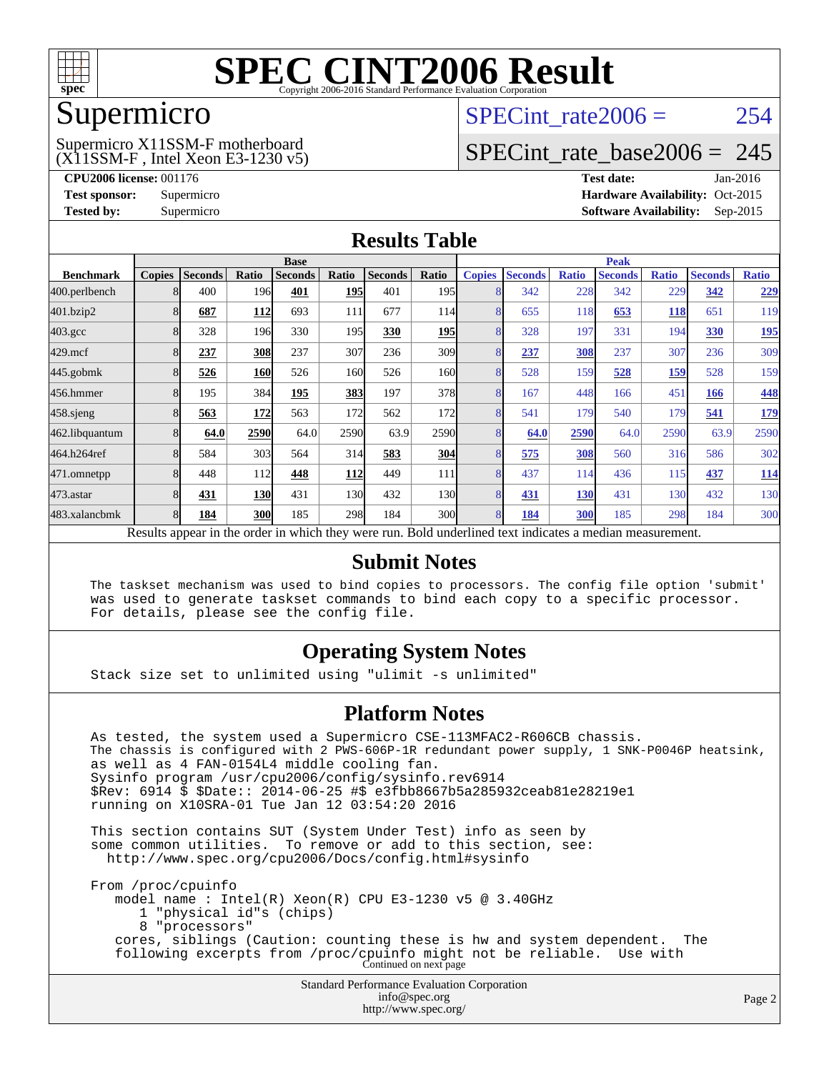

### Supermicro

#### (X11SSM-F , Intel Xeon E3-1230 v5) Supermicro X11SSM-F motherboard

SPECint rate $2006 = 254$ 

## [SPECint\\_rate\\_base2006 =](http://www.spec.org/auto/cpu2006/Docs/result-fields.html#SPECintratebase2006) 245

**[CPU2006 license:](http://www.spec.org/auto/cpu2006/Docs/result-fields.html#CPU2006license)** 001176 **[Test date:](http://www.spec.org/auto/cpu2006/Docs/result-fields.html#Testdate)** Jan-2016 **[Test sponsor:](http://www.spec.org/auto/cpu2006/Docs/result-fields.html#Testsponsor)** Supermicro Supermicro **[Hardware Availability:](http://www.spec.org/auto/cpu2006/Docs/result-fields.html#HardwareAvailability)** Oct-2015 **[Tested by:](http://www.spec.org/auto/cpu2006/Docs/result-fields.html#Testedby)** Supermicro **Supermicro [Software Availability:](http://www.spec.org/auto/cpu2006/Docs/result-fields.html#SoftwareAvailability)** Sep-2015

### **[Results Table](http://www.spec.org/auto/cpu2006/Docs/result-fields.html#ResultsTable)**

|                                                                                                          | <b>Base</b><br><b>Peak</b> |                |            |                |            |                |                  |                |                |              |                |              |                |              |
|----------------------------------------------------------------------------------------------------------|----------------------------|----------------|------------|----------------|------------|----------------|------------------|----------------|----------------|--------------|----------------|--------------|----------------|--------------|
| <b>Benchmark</b>                                                                                         | <b>Copies</b>              | <b>Seconds</b> | Ratio      | <b>Seconds</b> | Ratio      | <b>Seconds</b> | Ratio            | <b>Copies</b>  | <b>Seconds</b> | <b>Ratio</b> | <b>Seconds</b> | <b>Ratio</b> | <b>Seconds</b> | <b>Ratio</b> |
| 400.perlbench                                                                                            |                            | 400            | 196        | 401            | 195        | 401            | 195 <sub>l</sub> |                | 342            | 228          | 342            | 229          | 342            | <u>229</u>   |
| 401.bzip2                                                                                                |                            | 687            | 112        | 693            | 111        | 677            | 114              | 8              | 655            | 118          | 653            | <b>118</b>   | 651            | 119          |
| $403.\mathrm{gcc}$                                                                                       |                            | 328            | 196        | 330            | 195        | 330            | <b>195</b>       |                | 328            | 197          | 331            | 194          | 330            | <u>195</u>   |
| $429$ .mcf                                                                                               |                            | 237            | <b>308</b> | 237            | 307        | 236            | 309              |                | 237            | 308          | 237            | 307          | 236            | 309          |
| $445$ .gobmk                                                                                             |                            | 526            | 160        | 526            | 160        | 526            | 160l             | 8              | 528            | 159          | 528            | <u>159</u>   | 528            | 159          |
| 456.hmmer                                                                                                |                            | 195            | 384        | 195            | 383        | 197            | 378              | 8              | 167            | 448          | 166            | 451          | 166            | 448          |
| $458$ .sjeng                                                                                             | 8                          | 563            | 172        | 563            | 172        | 562            | 172              |                | 541            | 179          | 540            | 179          | 541            | <u>179</u>   |
| 462.libquantum                                                                                           |                            | 64.0           | 2590       | 64.0           | 2590       | 63.9           | 2590             | 8              | 64.0           | 2590         | 64.0           | 2590         | 63.9           | 2590         |
| 464.h264ref                                                                                              |                            | 584            | 303        | 564            | 314        | 583            | 304              | 8              | 575            | 308          | 560            | 316          | 586            | 302          |
| 471.omnetpp                                                                                              |                            | 448            | 112        | 448            | <b>112</b> | 449            | 111              |                | 437            | 114          | 436            | 115          | 437            | <u>114</u>   |
| 473.astar                                                                                                |                            | 431            | <b>130</b> | 431            | 130        | 432            | 130              | $\overline{8}$ | 431            | 130          | 431            | 130          | 432            | 130          |
| 483.xalancbmk                                                                                            |                            | 184            | 300        | 185            | 298        | 184            | 300l             | 8              | 184            | 300          | 185            | 298          | 184            | 300          |
| Results appear in the order in which they were run. Bold underlined text indicates a median measurement. |                            |                |            |                |            |                |                  |                |                |              |                |              |                |              |

### **[Submit Notes](http://www.spec.org/auto/cpu2006/Docs/result-fields.html#SubmitNotes)**

 The taskset mechanism was used to bind copies to processors. The config file option 'submit' was used to generate taskset commands to bind each copy to a specific processor. For details, please see the config file.

### **[Operating System Notes](http://www.spec.org/auto/cpu2006/Docs/result-fields.html#OperatingSystemNotes)**

Stack size set to unlimited using "ulimit -s unlimited"

### **[Platform Notes](http://www.spec.org/auto/cpu2006/Docs/result-fields.html#PlatformNotes)**

Standard Performance Evaluation Corporation [info@spec.org](mailto:info@spec.org) As tested, the system used a Supermicro CSE-113MFAC2-R606CB chassis. The chassis is configured with 2 PWS-606P-1R redundant power supply, 1 SNK-P0046P heatsink, as well as 4 FAN-0154L4 middle cooling fan. Sysinfo program /usr/cpu2006/config/sysinfo.rev6914 \$Rev: 6914 \$ \$Date:: 2014-06-25 #\$ e3fbb8667b5a285932ceab81e28219e1 running on X10SRA-01 Tue Jan 12 03:54:20 2016 This section contains SUT (System Under Test) info as seen by some common utilities. To remove or add to this section, see: <http://www.spec.org/cpu2006/Docs/config.html#sysinfo> From /proc/cpuinfo model name : Intel(R) Xeon(R) CPU E3-1230 v5 @ 3.40GHz 1 "physical id"s (chips) 8 "processors" cores, siblings (Caution: counting these is hw and system dependent. The following excerpts from /proc/cpuinfo might not be reliable. Use with Continued on next page

<http://www.spec.org/>

Page 2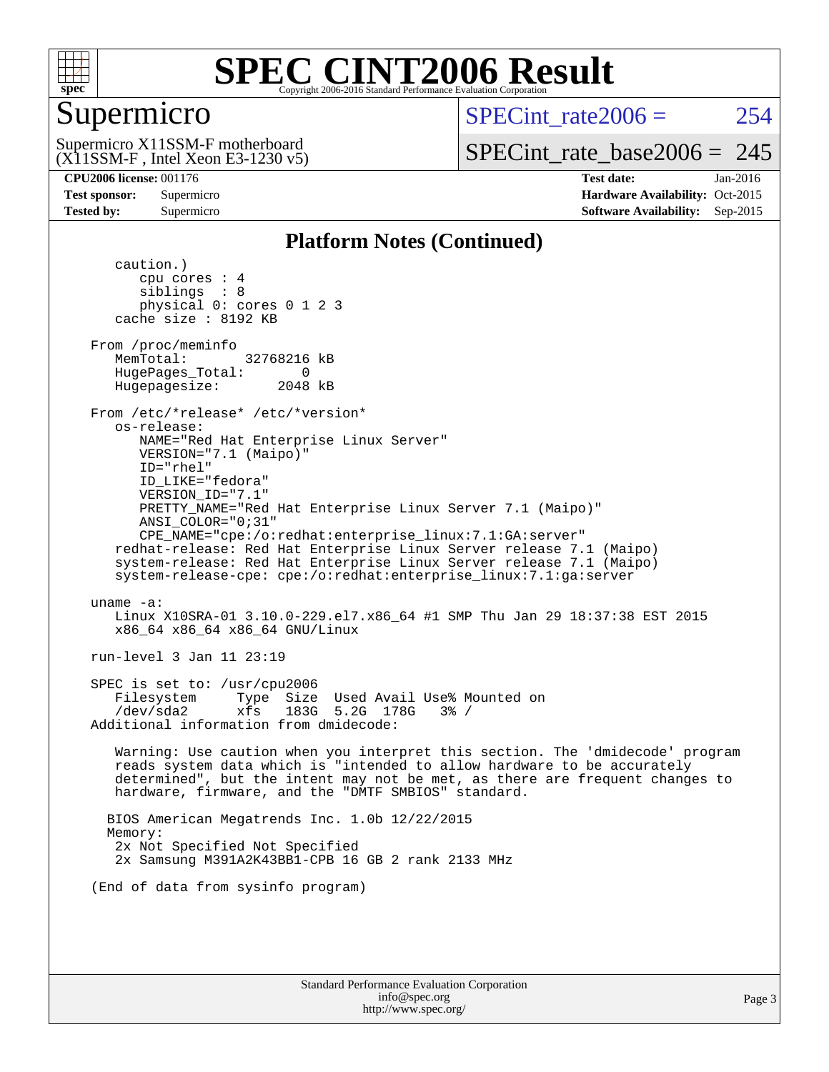

## Supermicro

 $SPECint rate2006 = 254$ 

(X11SSM-F , Intel Xeon E3-1230 v5) Supermicro X11SSM-F motherboard

[SPECint\\_rate\\_base2006 =](http://www.spec.org/auto/cpu2006/Docs/result-fields.html#SPECintratebase2006) 245

**[CPU2006 license:](http://www.spec.org/auto/cpu2006/Docs/result-fields.html#CPU2006license)** 001176 **[Test date:](http://www.spec.org/auto/cpu2006/Docs/result-fields.html#Testdate)** Jan-2016 **[Test sponsor:](http://www.spec.org/auto/cpu2006/Docs/result-fields.html#Testsponsor)** Supermicro Supermicro **[Hardware Availability:](http://www.spec.org/auto/cpu2006/Docs/result-fields.html#HardwareAvailability)** Oct-2015 **[Tested by:](http://www.spec.org/auto/cpu2006/Docs/result-fields.html#Testedby)** Supermicro **Supermicro [Software Availability:](http://www.spec.org/auto/cpu2006/Docs/result-fields.html#SoftwareAvailability)** Sep-2015

### **[Platform Notes \(Continued\)](http://www.spec.org/auto/cpu2006/Docs/result-fields.html#PlatformNotes)**

 caution.) cpu cores : 4 siblings : 8 physical 0: cores 0 1 2 3 cache size : 8192 KB From /proc/meminfo MemTotal: 32768216 kB HugePages\_Total: 0<br>Hugepagesize: 2048 kB Hugepagesize: From /etc/\*release\* /etc/\*version\* os-release: NAME="Red Hat Enterprise Linux Server" VERSION="7.1 (Maipo)" ID="rhel" ID\_LIKE="fedora" VERSION\_ID="7.1" PRETTY\_NAME="Red Hat Enterprise Linux Server 7.1 (Maipo)" ANSI\_COLOR="0;31" CPE\_NAME="cpe:/o:redhat:enterprise\_linux:7.1:GA:server" redhat-release: Red Hat Enterprise Linux Server release 7.1 (Maipo) system-release: Red Hat Enterprise Linux Server release 7.1 (Maipo) system-release-cpe: cpe:/o:redhat:enterprise\_linux:7.1:ga:server uname -a: Linux X10SRA-01 3.10.0-229.el7.x86\_64 #1 SMP Thu Jan 29 18:37:38 EST 2015 x86\_64 x86\_64 x86\_64 GNU/Linux run-level 3 Jan 11 23:19 SPEC is set to: /usr/cpu2006 Filesystem Type Size Used Avail Use% Mounted on /dev/sda2 xfs 183G 5.2G 178G 3% / Additional information from dmidecode: Warning: Use caution when you interpret this section. The 'dmidecode' program reads system data which is "intended to allow hardware to be accurately determined", but the intent may not be met, as there are frequent changes to hardware, firmware, and the "DMTF SMBIOS" standard. BIOS American Megatrends Inc. 1.0b 12/22/2015 Memory: 2x Not Specified Not Specified 2x Samsung M391A2K43BB1-CPB 16 GB 2 rank 2133 MHz (End of data from sysinfo program)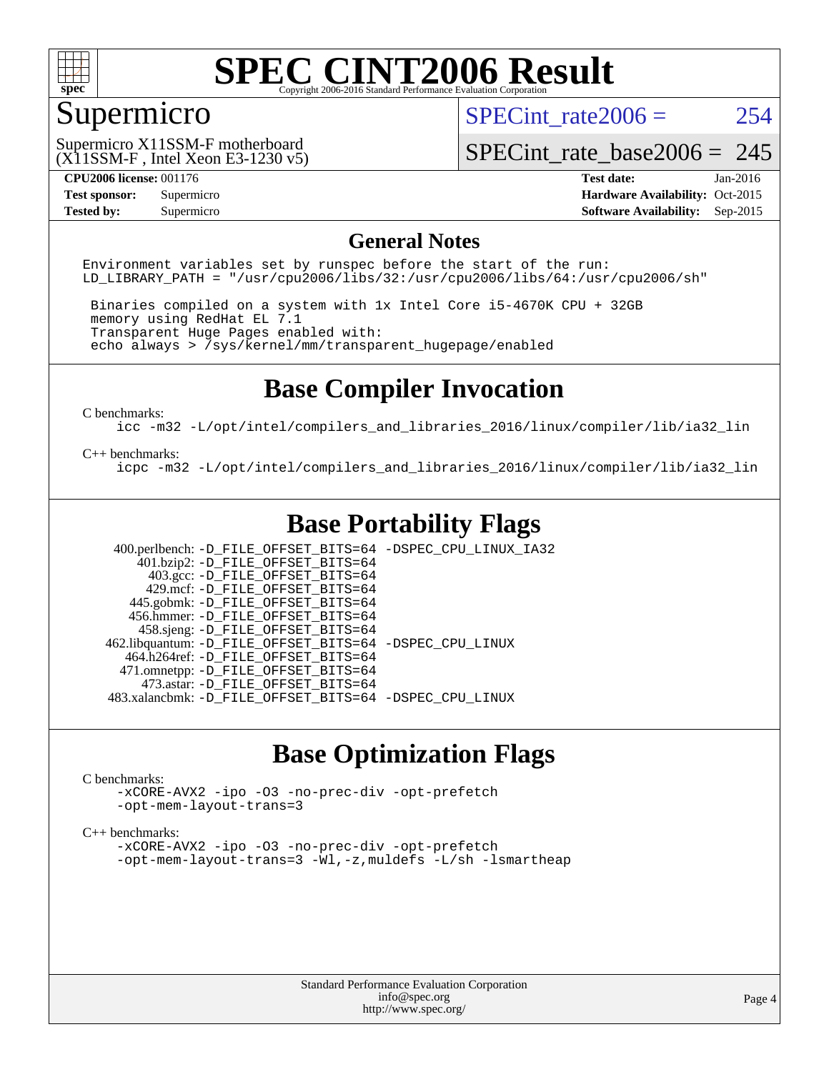

### Supermicro

SPECint rate $2006 = 254$ 

(X11SSM-F , Intel Xeon E3-1230 v5) Supermicro X11SSM-F motherboard

[SPECint\\_rate\\_base2006 =](http://www.spec.org/auto/cpu2006/Docs/result-fields.html#SPECintratebase2006) 245

**[CPU2006 license:](http://www.spec.org/auto/cpu2006/Docs/result-fields.html#CPU2006license)** 001176 **[Test date:](http://www.spec.org/auto/cpu2006/Docs/result-fields.html#Testdate)** Jan-2016 **[Test sponsor:](http://www.spec.org/auto/cpu2006/Docs/result-fields.html#Testsponsor)** Supermicro Supermicro **[Hardware Availability:](http://www.spec.org/auto/cpu2006/Docs/result-fields.html#HardwareAvailability)** Oct-2015 **[Tested by:](http://www.spec.org/auto/cpu2006/Docs/result-fields.html#Testedby)** Supermicro **Supermicro [Software Availability:](http://www.spec.org/auto/cpu2006/Docs/result-fields.html#SoftwareAvailability)** Sep-2015

### **[General Notes](http://www.spec.org/auto/cpu2006/Docs/result-fields.html#GeneralNotes)**

Environment variables set by runspec before the start of the run: LD LIBRARY PATH = "/usr/cpu2006/libs/32:/usr/cpu2006/libs/64:/usr/cpu2006/sh"

 Binaries compiled on a system with 1x Intel Core i5-4670K CPU + 32GB memory using RedHat EL 7.1 Transparent Huge Pages enabled with: echo always > /sys/kernel/mm/transparent\_hugepage/enabled

### **[Base Compiler Invocation](http://www.spec.org/auto/cpu2006/Docs/result-fields.html#BaseCompilerInvocation)**

[C benchmarks](http://www.spec.org/auto/cpu2006/Docs/result-fields.html#Cbenchmarks):

[icc -m32 -L/opt/intel/compilers\\_and\\_libraries\\_2016/linux/compiler/lib/ia32\\_lin](http://www.spec.org/cpu2006/results/res2016q1/cpu2006-20160120-38742.flags.html#user_CCbase_intel_icc_e10256ba5924b668798078a321b0cb3f)

#### [C++ benchmarks:](http://www.spec.org/auto/cpu2006/Docs/result-fields.html#CXXbenchmarks)

[icpc -m32 -L/opt/intel/compilers\\_and\\_libraries\\_2016/linux/compiler/lib/ia32\\_lin](http://www.spec.org/cpu2006/results/res2016q1/cpu2006-20160120-38742.flags.html#user_CXXbase_intel_icpc_b4f50a394bdb4597aa5879c16bc3f5c5)

### **[Base Portability Flags](http://www.spec.org/auto/cpu2006/Docs/result-fields.html#BasePortabilityFlags)**

 400.perlbench: [-D\\_FILE\\_OFFSET\\_BITS=64](http://www.spec.org/cpu2006/results/res2016q1/cpu2006-20160120-38742.flags.html#user_basePORTABILITY400_perlbench_file_offset_bits_64_438cf9856305ebd76870a2c6dc2689ab) [-DSPEC\\_CPU\\_LINUX\\_IA32](http://www.spec.org/cpu2006/results/res2016q1/cpu2006-20160120-38742.flags.html#b400.perlbench_baseCPORTABILITY_DSPEC_CPU_LINUX_IA32)  $401.bzip2: -D$ FILE\_OFFSET\_BITS=64 403.gcc: [-D\\_FILE\\_OFFSET\\_BITS=64](http://www.spec.org/cpu2006/results/res2016q1/cpu2006-20160120-38742.flags.html#user_basePORTABILITY403_gcc_file_offset_bits_64_438cf9856305ebd76870a2c6dc2689ab) 429.mcf: [-D\\_FILE\\_OFFSET\\_BITS=64](http://www.spec.org/cpu2006/results/res2016q1/cpu2006-20160120-38742.flags.html#user_basePORTABILITY429_mcf_file_offset_bits_64_438cf9856305ebd76870a2c6dc2689ab) 445.gobmk: [-D\\_FILE\\_OFFSET\\_BITS=64](http://www.spec.org/cpu2006/results/res2016q1/cpu2006-20160120-38742.flags.html#user_basePORTABILITY445_gobmk_file_offset_bits_64_438cf9856305ebd76870a2c6dc2689ab) 456.hmmer: [-D\\_FILE\\_OFFSET\\_BITS=64](http://www.spec.org/cpu2006/results/res2016q1/cpu2006-20160120-38742.flags.html#user_basePORTABILITY456_hmmer_file_offset_bits_64_438cf9856305ebd76870a2c6dc2689ab) 458.sjeng: [-D\\_FILE\\_OFFSET\\_BITS=64](http://www.spec.org/cpu2006/results/res2016q1/cpu2006-20160120-38742.flags.html#user_basePORTABILITY458_sjeng_file_offset_bits_64_438cf9856305ebd76870a2c6dc2689ab) 462.libquantum: [-D\\_FILE\\_OFFSET\\_BITS=64](http://www.spec.org/cpu2006/results/res2016q1/cpu2006-20160120-38742.flags.html#user_basePORTABILITY462_libquantum_file_offset_bits_64_438cf9856305ebd76870a2c6dc2689ab) [-DSPEC\\_CPU\\_LINUX](http://www.spec.org/cpu2006/results/res2016q1/cpu2006-20160120-38742.flags.html#b462.libquantum_baseCPORTABILITY_DSPEC_CPU_LINUX) 464.h264ref: [-D\\_FILE\\_OFFSET\\_BITS=64](http://www.spec.org/cpu2006/results/res2016q1/cpu2006-20160120-38742.flags.html#user_basePORTABILITY464_h264ref_file_offset_bits_64_438cf9856305ebd76870a2c6dc2689ab) 471.omnetpp: [-D\\_FILE\\_OFFSET\\_BITS=64](http://www.spec.org/cpu2006/results/res2016q1/cpu2006-20160120-38742.flags.html#user_basePORTABILITY471_omnetpp_file_offset_bits_64_438cf9856305ebd76870a2c6dc2689ab) 473.astar: [-D\\_FILE\\_OFFSET\\_BITS=64](http://www.spec.org/cpu2006/results/res2016q1/cpu2006-20160120-38742.flags.html#user_basePORTABILITY473_astar_file_offset_bits_64_438cf9856305ebd76870a2c6dc2689ab) 483.xalancbmk: [-D\\_FILE\\_OFFSET\\_BITS=64](http://www.spec.org/cpu2006/results/res2016q1/cpu2006-20160120-38742.flags.html#user_basePORTABILITY483_xalancbmk_file_offset_bits_64_438cf9856305ebd76870a2c6dc2689ab) [-DSPEC\\_CPU\\_LINUX](http://www.spec.org/cpu2006/results/res2016q1/cpu2006-20160120-38742.flags.html#b483.xalancbmk_baseCXXPORTABILITY_DSPEC_CPU_LINUX)

### **[Base Optimization Flags](http://www.spec.org/auto/cpu2006/Docs/result-fields.html#BaseOptimizationFlags)**

#### [C benchmarks](http://www.spec.org/auto/cpu2006/Docs/result-fields.html#Cbenchmarks):

[-xCORE-AVX2](http://www.spec.org/cpu2006/results/res2016q1/cpu2006-20160120-38742.flags.html#user_CCbase_f-xAVX2_5f5fc0cbe2c9f62c816d3e45806c70d7) [-ipo](http://www.spec.org/cpu2006/results/res2016q1/cpu2006-20160120-38742.flags.html#user_CCbase_f-ipo) [-O3](http://www.spec.org/cpu2006/results/res2016q1/cpu2006-20160120-38742.flags.html#user_CCbase_f-O3) [-no-prec-div](http://www.spec.org/cpu2006/results/res2016q1/cpu2006-20160120-38742.flags.html#user_CCbase_f-no-prec-div) [-opt-prefetch](http://www.spec.org/cpu2006/results/res2016q1/cpu2006-20160120-38742.flags.html#user_CCbase_f-opt-prefetch) [-opt-mem-layout-trans=3](http://www.spec.org/cpu2006/results/res2016q1/cpu2006-20160120-38742.flags.html#user_CCbase_f-opt-mem-layout-trans_a7b82ad4bd7abf52556d4961a2ae94d5)

#### [C++ benchmarks:](http://www.spec.org/auto/cpu2006/Docs/result-fields.html#CXXbenchmarks)

[-xCORE-AVX2](http://www.spec.org/cpu2006/results/res2016q1/cpu2006-20160120-38742.flags.html#user_CXXbase_f-xAVX2_5f5fc0cbe2c9f62c816d3e45806c70d7) [-ipo](http://www.spec.org/cpu2006/results/res2016q1/cpu2006-20160120-38742.flags.html#user_CXXbase_f-ipo) [-O3](http://www.spec.org/cpu2006/results/res2016q1/cpu2006-20160120-38742.flags.html#user_CXXbase_f-O3) [-no-prec-div](http://www.spec.org/cpu2006/results/res2016q1/cpu2006-20160120-38742.flags.html#user_CXXbase_f-no-prec-div) [-opt-prefetch](http://www.spec.org/cpu2006/results/res2016q1/cpu2006-20160120-38742.flags.html#user_CXXbase_f-opt-prefetch) [-opt-mem-layout-trans=3](http://www.spec.org/cpu2006/results/res2016q1/cpu2006-20160120-38742.flags.html#user_CXXbase_f-opt-mem-layout-trans_a7b82ad4bd7abf52556d4961a2ae94d5) [-Wl,-z,muldefs](http://www.spec.org/cpu2006/results/res2016q1/cpu2006-20160120-38742.flags.html#user_CXXbase_link_force_multiple1_74079c344b956b9658436fd1b6dd3a8a) [-L/sh -lsmartheap](http://www.spec.org/cpu2006/results/res2016q1/cpu2006-20160120-38742.flags.html#user_CXXbase_SmartHeap_32f6c82aa1ed9c52345d30cf6e4a0499)

> Standard Performance Evaluation Corporation [info@spec.org](mailto:info@spec.org) <http://www.spec.org/>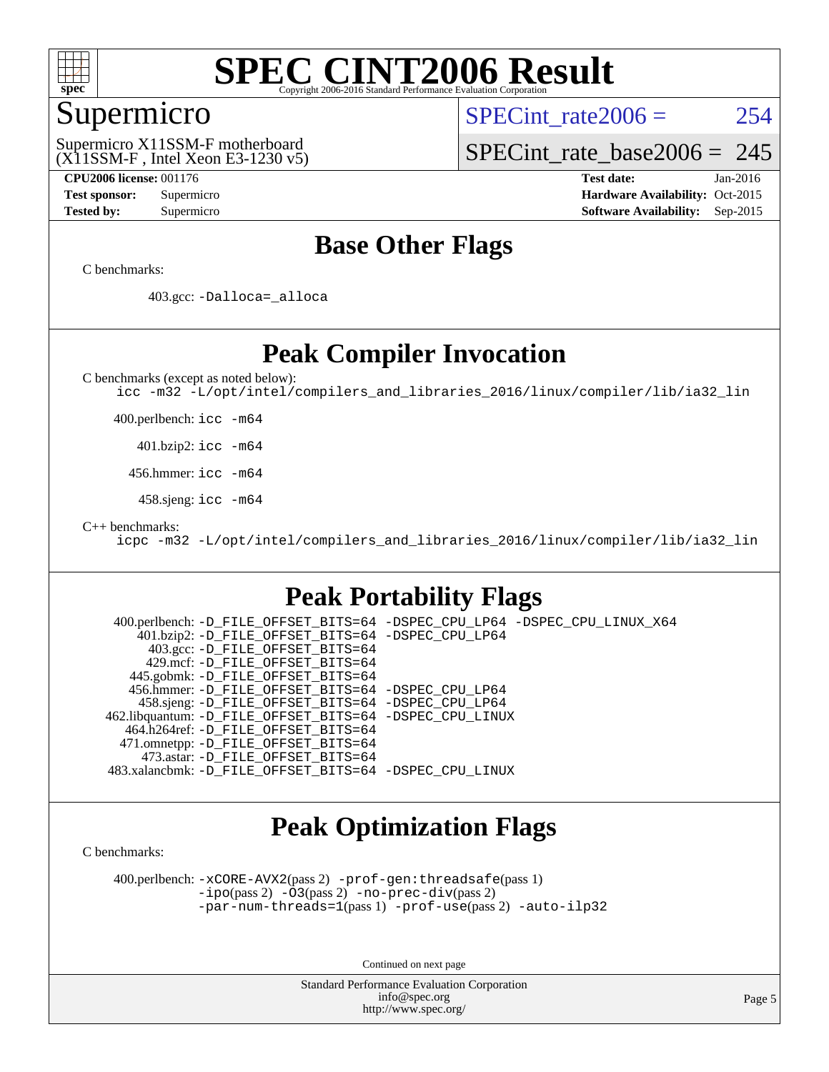

### Supermicro

SPECint rate $2006 = 254$ 

(X11SSM-F , Intel Xeon E3-1230 v5) Supermicro X11SSM-F motherboard

[SPECint\\_rate\\_base2006 =](http://www.spec.org/auto/cpu2006/Docs/result-fields.html#SPECintratebase2006) 245

**[CPU2006 license:](http://www.spec.org/auto/cpu2006/Docs/result-fields.html#CPU2006license)** 001176 **[Test date:](http://www.spec.org/auto/cpu2006/Docs/result-fields.html#Testdate)** Jan-2016 **[Test sponsor:](http://www.spec.org/auto/cpu2006/Docs/result-fields.html#Testsponsor)** Supermicro Supermicro **[Hardware Availability:](http://www.spec.org/auto/cpu2006/Docs/result-fields.html#HardwareAvailability)** Oct-2015 **[Tested by:](http://www.spec.org/auto/cpu2006/Docs/result-fields.html#Testedby)** Supermicro **Supermicro [Software Availability:](http://www.spec.org/auto/cpu2006/Docs/result-fields.html#SoftwareAvailability)** Sep-2015

### **[Base Other Flags](http://www.spec.org/auto/cpu2006/Docs/result-fields.html#BaseOtherFlags)**

[C benchmarks](http://www.spec.org/auto/cpu2006/Docs/result-fields.html#Cbenchmarks):

403.gcc: [-Dalloca=\\_alloca](http://www.spec.org/cpu2006/results/res2016q1/cpu2006-20160120-38742.flags.html#b403.gcc_baseEXTRA_CFLAGS_Dalloca_be3056838c12de2578596ca5467af7f3)

### **[Peak Compiler Invocation](http://www.spec.org/auto/cpu2006/Docs/result-fields.html#PeakCompilerInvocation)**

[C benchmarks \(except as noted below\)](http://www.spec.org/auto/cpu2006/Docs/result-fields.html#Cbenchmarksexceptasnotedbelow):

[icc -m32 -L/opt/intel/compilers\\_and\\_libraries\\_2016/linux/compiler/lib/ia32\\_lin](http://www.spec.org/cpu2006/results/res2016q1/cpu2006-20160120-38742.flags.html#user_CCpeak_intel_icc_e10256ba5924b668798078a321b0cb3f)

400.perlbench: [icc -m64](http://www.spec.org/cpu2006/results/res2016q1/cpu2006-20160120-38742.flags.html#user_peakCCLD400_perlbench_intel_icc_64bit_bda6cc9af1fdbb0edc3795bac97ada53)

401.bzip2: [icc -m64](http://www.spec.org/cpu2006/results/res2016q1/cpu2006-20160120-38742.flags.html#user_peakCCLD401_bzip2_intel_icc_64bit_bda6cc9af1fdbb0edc3795bac97ada53)

456.hmmer: [icc -m64](http://www.spec.org/cpu2006/results/res2016q1/cpu2006-20160120-38742.flags.html#user_peakCCLD456_hmmer_intel_icc_64bit_bda6cc9af1fdbb0edc3795bac97ada53)

458.sjeng: [icc -m64](http://www.spec.org/cpu2006/results/res2016q1/cpu2006-20160120-38742.flags.html#user_peakCCLD458_sjeng_intel_icc_64bit_bda6cc9af1fdbb0edc3795bac97ada53)

[C++ benchmarks:](http://www.spec.org/auto/cpu2006/Docs/result-fields.html#CXXbenchmarks)

[icpc -m32 -L/opt/intel/compilers\\_and\\_libraries\\_2016/linux/compiler/lib/ia32\\_lin](http://www.spec.org/cpu2006/results/res2016q1/cpu2006-20160120-38742.flags.html#user_CXXpeak_intel_icpc_b4f50a394bdb4597aa5879c16bc3f5c5)

### **[Peak Portability Flags](http://www.spec.org/auto/cpu2006/Docs/result-fields.html#PeakPortabilityFlags)**

 400.perlbench: [-D\\_FILE\\_OFFSET\\_BITS=64](http://www.spec.org/cpu2006/results/res2016q1/cpu2006-20160120-38742.flags.html#user_peakPORTABILITY400_perlbench_file_offset_bits_64_438cf9856305ebd76870a2c6dc2689ab) [-DSPEC\\_CPU\\_LP64](http://www.spec.org/cpu2006/results/res2016q1/cpu2006-20160120-38742.flags.html#b400.perlbench_peakCPORTABILITY_DSPEC_CPU_LP64) [-DSPEC\\_CPU\\_LINUX\\_X64](http://www.spec.org/cpu2006/results/res2016q1/cpu2006-20160120-38742.flags.html#b400.perlbench_peakCPORTABILITY_DSPEC_CPU_LINUX_X64) 401.bzip2: [-D\\_FILE\\_OFFSET\\_BITS=64](http://www.spec.org/cpu2006/results/res2016q1/cpu2006-20160120-38742.flags.html#user_peakPORTABILITY401_bzip2_file_offset_bits_64_438cf9856305ebd76870a2c6dc2689ab) [-DSPEC\\_CPU\\_LP64](http://www.spec.org/cpu2006/results/res2016q1/cpu2006-20160120-38742.flags.html#suite_peakCPORTABILITY401_bzip2_DSPEC_CPU_LP64) 403.gcc: [-D\\_FILE\\_OFFSET\\_BITS=64](http://www.spec.org/cpu2006/results/res2016q1/cpu2006-20160120-38742.flags.html#user_peakPORTABILITY403_gcc_file_offset_bits_64_438cf9856305ebd76870a2c6dc2689ab) 429.mcf: [-D\\_FILE\\_OFFSET\\_BITS=64](http://www.spec.org/cpu2006/results/res2016q1/cpu2006-20160120-38742.flags.html#user_peakPORTABILITY429_mcf_file_offset_bits_64_438cf9856305ebd76870a2c6dc2689ab) 445.gobmk: [-D\\_FILE\\_OFFSET\\_BITS=64](http://www.spec.org/cpu2006/results/res2016q1/cpu2006-20160120-38742.flags.html#user_peakPORTABILITY445_gobmk_file_offset_bits_64_438cf9856305ebd76870a2c6dc2689ab) 456.hmmer: [-D\\_FILE\\_OFFSET\\_BITS=64](http://www.spec.org/cpu2006/results/res2016q1/cpu2006-20160120-38742.flags.html#user_peakPORTABILITY456_hmmer_file_offset_bits_64_438cf9856305ebd76870a2c6dc2689ab) [-DSPEC\\_CPU\\_LP64](http://www.spec.org/cpu2006/results/res2016q1/cpu2006-20160120-38742.flags.html#suite_peakCPORTABILITY456_hmmer_DSPEC_CPU_LP64) 458.sjeng: [-D\\_FILE\\_OFFSET\\_BITS=64](http://www.spec.org/cpu2006/results/res2016q1/cpu2006-20160120-38742.flags.html#user_peakPORTABILITY458_sjeng_file_offset_bits_64_438cf9856305ebd76870a2c6dc2689ab) [-DSPEC\\_CPU\\_LP64](http://www.spec.org/cpu2006/results/res2016q1/cpu2006-20160120-38742.flags.html#suite_peakCPORTABILITY458_sjeng_DSPEC_CPU_LP64) 462.libquantum: [-D\\_FILE\\_OFFSET\\_BITS=64](http://www.spec.org/cpu2006/results/res2016q1/cpu2006-20160120-38742.flags.html#user_peakPORTABILITY462_libquantum_file_offset_bits_64_438cf9856305ebd76870a2c6dc2689ab) [-DSPEC\\_CPU\\_LINUX](http://www.spec.org/cpu2006/results/res2016q1/cpu2006-20160120-38742.flags.html#b462.libquantum_peakCPORTABILITY_DSPEC_CPU_LINUX) 464.h264ref: [-D\\_FILE\\_OFFSET\\_BITS=64](http://www.spec.org/cpu2006/results/res2016q1/cpu2006-20160120-38742.flags.html#user_peakPORTABILITY464_h264ref_file_offset_bits_64_438cf9856305ebd76870a2c6dc2689ab) 471.omnetpp: [-D\\_FILE\\_OFFSET\\_BITS=64](http://www.spec.org/cpu2006/results/res2016q1/cpu2006-20160120-38742.flags.html#user_peakPORTABILITY471_omnetpp_file_offset_bits_64_438cf9856305ebd76870a2c6dc2689ab) 473.astar: [-D\\_FILE\\_OFFSET\\_BITS=64](http://www.spec.org/cpu2006/results/res2016q1/cpu2006-20160120-38742.flags.html#user_peakPORTABILITY473_astar_file_offset_bits_64_438cf9856305ebd76870a2c6dc2689ab) 483.xalancbmk: [-D\\_FILE\\_OFFSET\\_BITS=64](http://www.spec.org/cpu2006/results/res2016q1/cpu2006-20160120-38742.flags.html#user_peakPORTABILITY483_xalancbmk_file_offset_bits_64_438cf9856305ebd76870a2c6dc2689ab) [-DSPEC\\_CPU\\_LINUX](http://www.spec.org/cpu2006/results/res2016q1/cpu2006-20160120-38742.flags.html#b483.xalancbmk_peakCXXPORTABILITY_DSPEC_CPU_LINUX)

## **[Peak Optimization Flags](http://www.spec.org/auto/cpu2006/Docs/result-fields.html#PeakOptimizationFlags)**

[C benchmarks](http://www.spec.org/auto/cpu2006/Docs/result-fields.html#Cbenchmarks):

 400.perlbench: [-xCORE-AVX2](http://www.spec.org/cpu2006/results/res2016q1/cpu2006-20160120-38742.flags.html#user_peakPASS2_CFLAGSPASS2_LDCFLAGS400_perlbench_f-xAVX2_5f5fc0cbe2c9f62c816d3e45806c70d7)(pass 2) [-prof-gen:threadsafe](http://www.spec.org/cpu2006/results/res2016q1/cpu2006-20160120-38742.flags.html#user_peakPASS1_CFLAGSPASS1_LDCFLAGS400_perlbench_prof_gen_21a26eb79f378b550acd7bec9fe4467a)(pass 1) [-ipo](http://www.spec.org/cpu2006/results/res2016q1/cpu2006-20160120-38742.flags.html#user_peakPASS2_CFLAGSPASS2_LDCFLAGS400_perlbench_f-ipo)(pass 2) [-O3](http://www.spec.org/cpu2006/results/res2016q1/cpu2006-20160120-38742.flags.html#user_peakPASS2_CFLAGSPASS2_LDCFLAGS400_perlbench_f-O3)(pass 2) [-no-prec-div](http://www.spec.org/cpu2006/results/res2016q1/cpu2006-20160120-38742.flags.html#user_peakPASS2_CFLAGSPASS2_LDCFLAGS400_perlbench_f-no-prec-div)(pass 2) [-par-num-threads=1](http://www.spec.org/cpu2006/results/res2016q1/cpu2006-20160120-38742.flags.html#user_peakPASS1_CFLAGSPASS1_LDCFLAGS400_perlbench_par_num_threads_786a6ff141b4e9e90432e998842df6c2)(pass 1) [-prof-use](http://www.spec.org/cpu2006/results/res2016q1/cpu2006-20160120-38742.flags.html#user_peakPASS2_CFLAGSPASS2_LDCFLAGS400_perlbench_prof_use_bccf7792157ff70d64e32fe3e1250b55)(pass 2) [-auto-ilp32](http://www.spec.org/cpu2006/results/res2016q1/cpu2006-20160120-38742.flags.html#user_peakCOPTIMIZE400_perlbench_f-auto-ilp32)

Continued on next page

Standard Performance Evaluation Corporation [info@spec.org](mailto:info@spec.org) <http://www.spec.org/>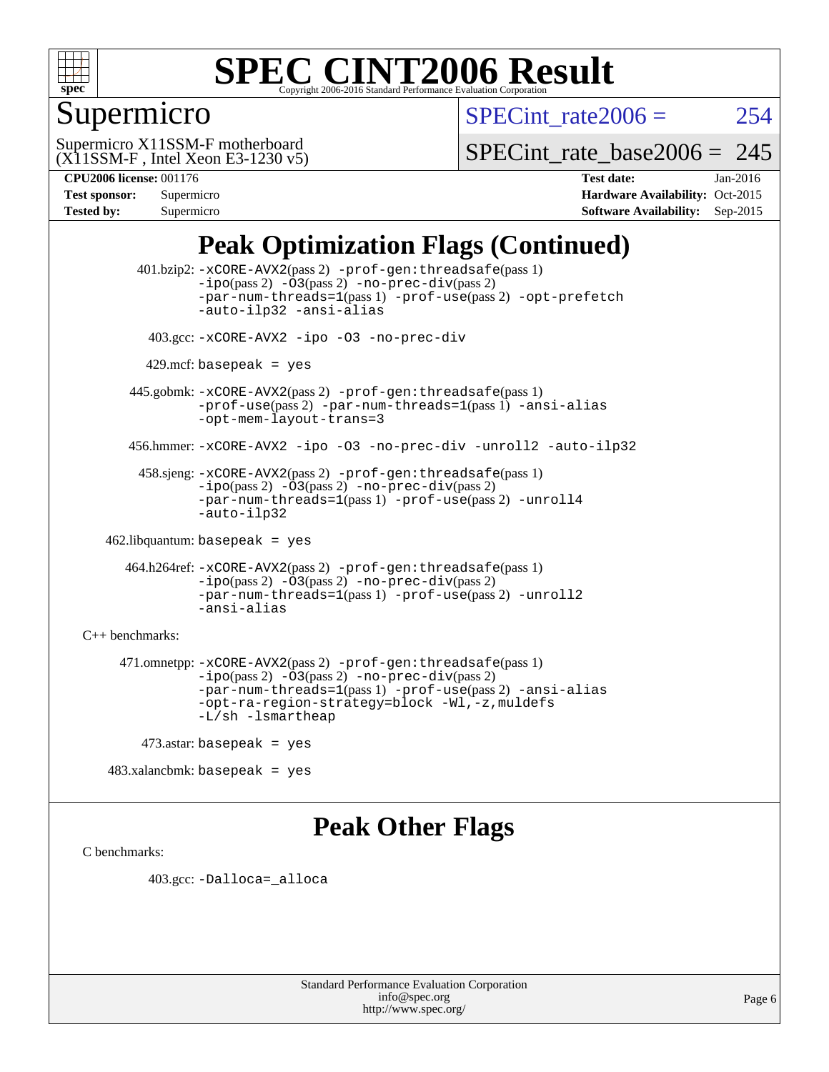

## Supermicro

SPECint rate $2006 = 254$ 

(X11SSM-F , Intel Xeon E3-1230 v5) Supermicro X11SSM-F motherboard

SPECint rate base2006 =  $245$ 

| <b>Test sponsor:</b> | Supermicro |
|----------------------|------------|
| <b>Tested by:</b>    | Supermicro |

**[CPU2006 license:](http://www.spec.org/auto/cpu2006/Docs/result-fields.html#CPU2006license)** 001176 **[Test date:](http://www.spec.org/auto/cpu2006/Docs/result-fields.html#Testdate)** Jan-2016 **[Hardware Availability:](http://www.spec.org/auto/cpu2006/Docs/result-fields.html#HardwareAvailability)** Oct-2015 **[Software Availability:](http://www.spec.org/auto/cpu2006/Docs/result-fields.html#SoftwareAvailability)** Sep-2015

## **[Peak Optimization Flags \(Continued\)](http://www.spec.org/auto/cpu2006/Docs/result-fields.html#PeakOptimizationFlags)**

 401.bzip2: [-xCORE-AVX2](http://www.spec.org/cpu2006/results/res2016q1/cpu2006-20160120-38742.flags.html#user_peakPASS2_CFLAGSPASS2_LDCFLAGS401_bzip2_f-xAVX2_5f5fc0cbe2c9f62c816d3e45806c70d7)(pass 2) [-prof-gen:threadsafe](http://www.spec.org/cpu2006/results/res2016q1/cpu2006-20160120-38742.flags.html#user_peakPASS1_CFLAGSPASS1_LDCFLAGS401_bzip2_prof_gen_21a26eb79f378b550acd7bec9fe4467a)(pass 1)  $-i\text{po}(pass 2) -\text{O3}(pass 2)$  [-no-prec-div](http://www.spec.org/cpu2006/results/res2016q1/cpu2006-20160120-38742.flags.html#user_peakPASS2_CFLAGSPASS2_LDCFLAGS401_bzip2_f-no-prec-div)(pass 2) [-par-num-threads=1](http://www.spec.org/cpu2006/results/res2016q1/cpu2006-20160120-38742.flags.html#user_peakPASS1_CFLAGSPASS1_LDCFLAGS401_bzip2_par_num_threads_786a6ff141b4e9e90432e998842df6c2)(pass 1) [-prof-use](http://www.spec.org/cpu2006/results/res2016q1/cpu2006-20160120-38742.flags.html#user_peakPASS2_CFLAGSPASS2_LDCFLAGS401_bzip2_prof_use_bccf7792157ff70d64e32fe3e1250b55)(pass 2) [-opt-prefetch](http://www.spec.org/cpu2006/results/res2016q1/cpu2006-20160120-38742.flags.html#user_peakCOPTIMIZE401_bzip2_f-opt-prefetch) [-auto-ilp32](http://www.spec.org/cpu2006/results/res2016q1/cpu2006-20160120-38742.flags.html#user_peakCOPTIMIZE401_bzip2_f-auto-ilp32) [-ansi-alias](http://www.spec.org/cpu2006/results/res2016q1/cpu2006-20160120-38742.flags.html#user_peakCOPTIMIZE401_bzip2_f-ansi-alias) 403.gcc: [-xCORE-AVX2](http://www.spec.org/cpu2006/results/res2016q1/cpu2006-20160120-38742.flags.html#user_peakCOPTIMIZE403_gcc_f-xAVX2_5f5fc0cbe2c9f62c816d3e45806c70d7) [-ipo](http://www.spec.org/cpu2006/results/res2016q1/cpu2006-20160120-38742.flags.html#user_peakCOPTIMIZE403_gcc_f-ipo) [-O3](http://www.spec.org/cpu2006/results/res2016q1/cpu2006-20160120-38742.flags.html#user_peakCOPTIMIZE403_gcc_f-O3) [-no-prec-div](http://www.spec.org/cpu2006/results/res2016q1/cpu2006-20160120-38742.flags.html#user_peakCOPTIMIZE403_gcc_f-no-prec-div)  $429$ .mcf: basepeak = yes 445.gobmk: [-xCORE-AVX2](http://www.spec.org/cpu2006/results/res2016q1/cpu2006-20160120-38742.flags.html#user_peakPASS2_CFLAGSPASS2_LDCFLAGS445_gobmk_f-xAVX2_5f5fc0cbe2c9f62c816d3e45806c70d7)(pass 2) [-prof-gen:threadsafe](http://www.spec.org/cpu2006/results/res2016q1/cpu2006-20160120-38742.flags.html#user_peakPASS1_CFLAGSPASS1_LDCFLAGS445_gobmk_prof_gen_21a26eb79f378b550acd7bec9fe4467a)(pass 1) [-prof-use](http://www.spec.org/cpu2006/results/res2016q1/cpu2006-20160120-38742.flags.html#user_peakPASS2_CFLAGSPASS2_LDCFLAGS445_gobmk_prof_use_bccf7792157ff70d64e32fe3e1250b55)(pass 2) [-par-num-threads=1](http://www.spec.org/cpu2006/results/res2016q1/cpu2006-20160120-38742.flags.html#user_peakPASS1_CFLAGSPASS1_LDCFLAGS445_gobmk_par_num_threads_786a6ff141b4e9e90432e998842df6c2)(pass 1) [-ansi-alias](http://www.spec.org/cpu2006/results/res2016q1/cpu2006-20160120-38742.flags.html#user_peakCOPTIMIZE445_gobmk_f-ansi-alias) [-opt-mem-layout-trans=3](http://www.spec.org/cpu2006/results/res2016q1/cpu2006-20160120-38742.flags.html#user_peakCOPTIMIZE445_gobmk_f-opt-mem-layout-trans_a7b82ad4bd7abf52556d4961a2ae94d5) 456.hmmer: [-xCORE-AVX2](http://www.spec.org/cpu2006/results/res2016q1/cpu2006-20160120-38742.flags.html#user_peakCOPTIMIZE456_hmmer_f-xAVX2_5f5fc0cbe2c9f62c816d3e45806c70d7) [-ipo](http://www.spec.org/cpu2006/results/res2016q1/cpu2006-20160120-38742.flags.html#user_peakCOPTIMIZE456_hmmer_f-ipo) [-O3](http://www.spec.org/cpu2006/results/res2016q1/cpu2006-20160120-38742.flags.html#user_peakCOPTIMIZE456_hmmer_f-O3) [-no-prec-div](http://www.spec.org/cpu2006/results/res2016q1/cpu2006-20160120-38742.flags.html#user_peakCOPTIMIZE456_hmmer_f-no-prec-div) [-unroll2](http://www.spec.org/cpu2006/results/res2016q1/cpu2006-20160120-38742.flags.html#user_peakCOPTIMIZE456_hmmer_f-unroll_784dae83bebfb236979b41d2422d7ec2) [-auto-ilp32](http://www.spec.org/cpu2006/results/res2016q1/cpu2006-20160120-38742.flags.html#user_peakCOPTIMIZE456_hmmer_f-auto-ilp32) 458.sjeng: [-xCORE-AVX2](http://www.spec.org/cpu2006/results/res2016q1/cpu2006-20160120-38742.flags.html#user_peakPASS2_CFLAGSPASS2_LDCFLAGS458_sjeng_f-xAVX2_5f5fc0cbe2c9f62c816d3e45806c70d7)(pass 2) [-prof-gen:threadsafe](http://www.spec.org/cpu2006/results/res2016q1/cpu2006-20160120-38742.flags.html#user_peakPASS1_CFLAGSPASS1_LDCFLAGS458_sjeng_prof_gen_21a26eb79f378b550acd7bec9fe4467a)(pass 1)  $-i\text{po}(pass 2) -\overline{O}3(pass 2)$  [-no-prec-div](http://www.spec.org/cpu2006/results/res2016q1/cpu2006-20160120-38742.flags.html#user_peakPASS2_CFLAGSPASS2_LDCFLAGS458_sjeng_f-no-prec-div)(pass 2) [-par-num-threads=1](http://www.spec.org/cpu2006/results/res2016q1/cpu2006-20160120-38742.flags.html#user_peakPASS1_CFLAGSPASS1_LDCFLAGS458_sjeng_par_num_threads_786a6ff141b4e9e90432e998842df6c2)(pass 1) [-prof-use](http://www.spec.org/cpu2006/results/res2016q1/cpu2006-20160120-38742.flags.html#user_peakPASS2_CFLAGSPASS2_LDCFLAGS458_sjeng_prof_use_bccf7792157ff70d64e32fe3e1250b55)(pass 2) [-unroll4](http://www.spec.org/cpu2006/results/res2016q1/cpu2006-20160120-38742.flags.html#user_peakCOPTIMIZE458_sjeng_f-unroll_4e5e4ed65b7fd20bdcd365bec371b81f) [-auto-ilp32](http://www.spec.org/cpu2006/results/res2016q1/cpu2006-20160120-38742.flags.html#user_peakCOPTIMIZE458_sjeng_f-auto-ilp32) 462.libquantum: basepeak = yes 464.h264ref: [-xCORE-AVX2](http://www.spec.org/cpu2006/results/res2016q1/cpu2006-20160120-38742.flags.html#user_peakPASS2_CFLAGSPASS2_LDCFLAGS464_h264ref_f-xAVX2_5f5fc0cbe2c9f62c816d3e45806c70d7)(pass 2) [-prof-gen:threadsafe](http://www.spec.org/cpu2006/results/res2016q1/cpu2006-20160120-38742.flags.html#user_peakPASS1_CFLAGSPASS1_LDCFLAGS464_h264ref_prof_gen_21a26eb79f378b550acd7bec9fe4467a)(pass 1) [-ipo](http://www.spec.org/cpu2006/results/res2016q1/cpu2006-20160120-38742.flags.html#user_peakPASS2_CFLAGSPASS2_LDCFLAGS464_h264ref_f-ipo)(pass 2) [-O3](http://www.spec.org/cpu2006/results/res2016q1/cpu2006-20160120-38742.flags.html#user_peakPASS2_CFLAGSPASS2_LDCFLAGS464_h264ref_f-O3)(pass 2) [-no-prec-div](http://www.spec.org/cpu2006/results/res2016q1/cpu2006-20160120-38742.flags.html#user_peakPASS2_CFLAGSPASS2_LDCFLAGS464_h264ref_f-no-prec-div)(pass 2) [-par-num-threads=1](http://www.spec.org/cpu2006/results/res2016q1/cpu2006-20160120-38742.flags.html#user_peakPASS1_CFLAGSPASS1_LDCFLAGS464_h264ref_par_num_threads_786a6ff141b4e9e90432e998842df6c2)(pass 1) [-prof-use](http://www.spec.org/cpu2006/results/res2016q1/cpu2006-20160120-38742.flags.html#user_peakPASS2_CFLAGSPASS2_LDCFLAGS464_h264ref_prof_use_bccf7792157ff70d64e32fe3e1250b55)(pass 2) [-unroll2](http://www.spec.org/cpu2006/results/res2016q1/cpu2006-20160120-38742.flags.html#user_peakCOPTIMIZE464_h264ref_f-unroll_784dae83bebfb236979b41d2422d7ec2) [-ansi-alias](http://www.spec.org/cpu2006/results/res2016q1/cpu2006-20160120-38742.flags.html#user_peakCOPTIMIZE464_h264ref_f-ansi-alias) [C++ benchmarks:](http://www.spec.org/auto/cpu2006/Docs/result-fields.html#CXXbenchmarks) 471.omnetpp: [-xCORE-AVX2](http://www.spec.org/cpu2006/results/res2016q1/cpu2006-20160120-38742.flags.html#user_peakPASS2_CXXFLAGSPASS2_LDCXXFLAGS471_omnetpp_f-xAVX2_5f5fc0cbe2c9f62c816d3e45806c70d7)(pass 2) [-prof-gen:threadsafe](http://www.spec.org/cpu2006/results/res2016q1/cpu2006-20160120-38742.flags.html#user_peakPASS1_CXXFLAGSPASS1_LDCXXFLAGS471_omnetpp_prof_gen_21a26eb79f378b550acd7bec9fe4467a)(pass 1)  $-ipo(pass 2) -\overline{03(pass 2)}$  $-ipo(pass 2) -\overline{03(pass 2)}$  [-no-prec-div](http://www.spec.org/cpu2006/results/res2016q1/cpu2006-20160120-38742.flags.html#user_peakPASS2_CXXFLAGSPASS2_LDCXXFLAGS471_omnetpp_f-no-prec-div)(pass 2) [-par-num-threads=1](http://www.spec.org/cpu2006/results/res2016q1/cpu2006-20160120-38742.flags.html#user_peakPASS1_CXXFLAGSPASS1_LDCXXFLAGS471_omnetpp_par_num_threads_786a6ff141b4e9e90432e998842df6c2)(pass 1) [-prof-use](http://www.spec.org/cpu2006/results/res2016q1/cpu2006-20160120-38742.flags.html#user_peakPASS2_CXXFLAGSPASS2_LDCXXFLAGS471_omnetpp_prof_use_bccf7792157ff70d64e32fe3e1250b55)(pass 2) [-ansi-alias](http://www.spec.org/cpu2006/results/res2016q1/cpu2006-20160120-38742.flags.html#user_peakCXXOPTIMIZE471_omnetpp_f-ansi-alias) [-opt-ra-region-strategy=block](http://www.spec.org/cpu2006/results/res2016q1/cpu2006-20160120-38742.flags.html#user_peakCXXOPTIMIZE471_omnetpp_f-opt-ra-region-strategy_a0a37c372d03933b2a18d4af463c1f69) [-Wl,-z,muldefs](http://www.spec.org/cpu2006/results/res2016q1/cpu2006-20160120-38742.flags.html#user_peakEXTRA_LDFLAGS471_omnetpp_link_force_multiple1_74079c344b956b9658436fd1b6dd3a8a) [-L/sh -lsmartheap](http://www.spec.org/cpu2006/results/res2016q1/cpu2006-20160120-38742.flags.html#user_peakEXTRA_LIBS471_omnetpp_SmartHeap_32f6c82aa1ed9c52345d30cf6e4a0499) 473.astar: basepeak = yes

## **[Peak Other Flags](http://www.spec.org/auto/cpu2006/Docs/result-fields.html#PeakOtherFlags)**

[C benchmarks](http://www.spec.org/auto/cpu2006/Docs/result-fields.html#Cbenchmarks):

403.gcc: [-Dalloca=\\_alloca](http://www.spec.org/cpu2006/results/res2016q1/cpu2006-20160120-38742.flags.html#b403.gcc_peakEXTRA_CFLAGS_Dalloca_be3056838c12de2578596ca5467af7f3)

483.xalancbmk: basepeak = yes